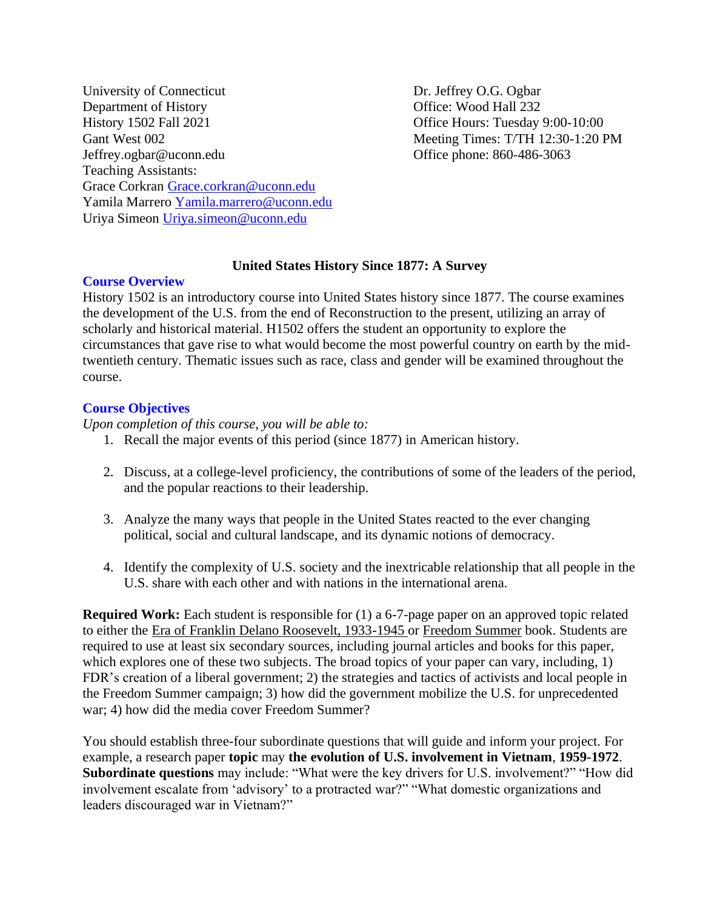University of Connecticut Dr. Jeffrey O.G. Ogbar Department of History **Office:** Wood Hall 232 History 1502 Fall 2021 China Base of Fice Hours: Tuesday 9:00-10:00 Gant West 002 Meeting Times: T/TH 12:30-1:20 PM Jeffrey.ogbar@uconn.edu Office phone: 860-486-3063 Teaching Assistants: Grace Corkran [Grace.corkran@uconn.edu](mailto:Grace.corkran@uconn.edu) Yamila Marrero [Yamila.marrero@uconn.edu](mailto:Yamila.marrero@uconn.edu) Uriya Simeon [Uriya.simeon@uconn.edu](mailto:Uriya.simeon@uconn.edu)

# **United States History Since 1877: A Survey**

## **Course Overview**

History 1502 is an introductory course into United States history since 1877. The course examines the development of the U.S. from the end of Reconstruction to the present, utilizing an array of scholarly and historical material. H1502 offers the student an opportunity to explore the circumstances that gave rise to what would become the most powerful country on earth by the midtwentieth century. Thematic issues such as race, class and gender will be examined throughout the course.

# **Course Objectives**

*Upon completion of this course, you will be able to:*

- 1. Recall the major events of this period (since 1877) in American history.
- 2. Discuss, at a college-level proficiency, the contributions of some of the leaders of the period, and the popular reactions to their leadership.
- 3. Analyze the many ways that people in the United States reacted to the ever changing political, social and cultural landscape, and its dynamic notions of democracy.
- 4. Identify the complexity of U.S. society and the inextricable relationship that all people in the U.S. share with each other and with nations in the international arena.

**Required Work:** Each student is responsible for (1) a 6-7-page paper on an approved topic related to either the Era of Franklin Delano Roosevelt, 1933-1945 or Freedom Summer book. Students are required to use at least six secondary sources, including journal articles and books for this paper, which explores one of these two subjects. The broad topics of your paper can vary, including, 1) FDR's creation of a liberal government; 2) the strategies and tactics of activists and local people in the Freedom Summer campaign; 3) how did the government mobilize the U.S. for unprecedented war; 4) how did the media cover Freedom Summer?

You should establish three-four subordinate questions that will guide and inform your project. For example, a research paper **topic** may **the evolution of U.S. involvement in Vietnam**, **1959-1972**. **Subordinate questions** may include: "What were the key drivers for U.S. involvement?" "How did involvement escalate from 'advisory' to a protracted war?" "What domestic organizations and leaders discouraged war in Vietnam?"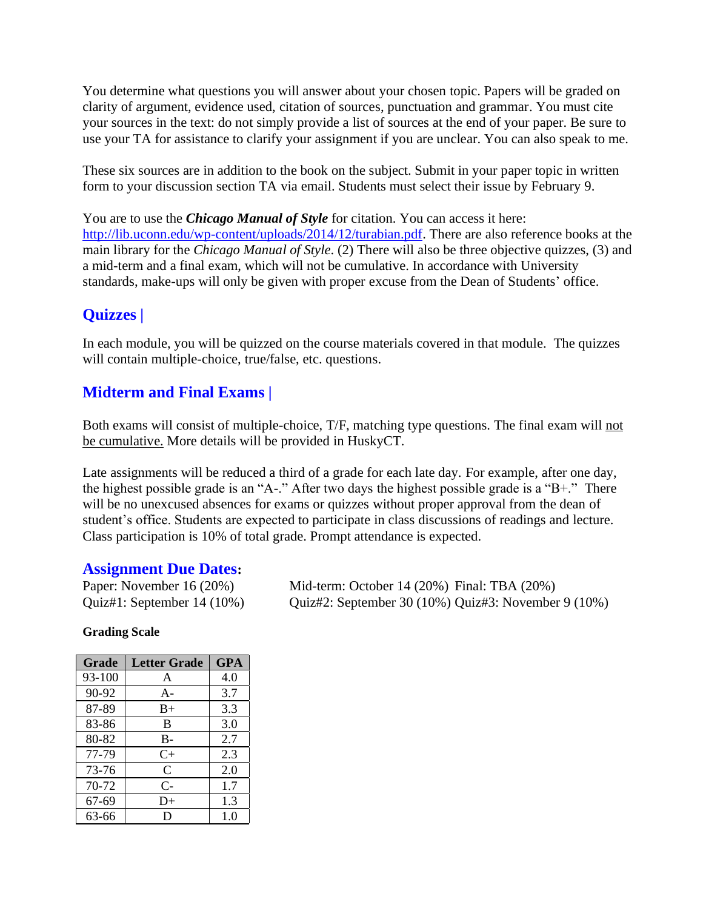You determine what questions you will answer about your chosen topic. Papers will be graded on clarity of argument, evidence used, citation of sources, punctuation and grammar. You must cite your sources in the text: do not simply provide a list of sources at the end of your paper. Be sure to use your TA for assistance to clarify your assignment if you are unclear. You can also speak to me.

These six sources are in addition to the book on the subject. Submit in your paper topic in written form to your discussion section TA via email. Students must select their issue by February 9.

You are to use the *Chicago Manual of Style* for citation. You can access it here: [http://lib.uconn.edu/wp-content/uploads/2014/12/turabian.pdf.](http://lib.uconn.edu/wp-content/uploads/2014/12/turabian.pdf) There are also reference books at the main library for the *Chicago Manual of Style*. (2) There will also be three objective quizzes, (3) and a mid-term and a final exam, which will not be cumulative. In accordance with University standards, make-ups will only be given with proper excuse from the Dean of Students' office.

# **Quizzes |**

In each module, you will be quizzed on the course materials covered in that module. The quizzes will contain multiple-choice, true/false, etc. questions.

# **Midterm and Final Exams |**

Both exams will consist of multiple-choice, T/F, matching type questions. The final exam will not be cumulative. More details will be provided in HuskyCT.

Late assignments will be reduced a third of a grade for each late day. For example, after one day, the highest possible grade is an "A-." After two days the highest possible grade is a "B+." There will be no unexcused absences for exams or quizzes without proper approval from the dean of student's office. Students are expected to participate in class discussions of readings and lecture. Class participation is 10% of total grade. Prompt attendance is expected.

# **Assignment Due Dates:**

Paper: November 16 (20%) Mid-term: October 14 (20%) Final: TBA (20%) Quiz#1: September 14 (10%) Quiz#2: September 30 (10%) Quiz#3: November 9 (10%)

# **Grading Scale**

| Grade  | <b>Letter Grade</b> | <b>GPA</b> |
|--------|---------------------|------------|
| 93-100 | A                   | 4.0        |
| 90-92  | $A -$               | 3.7        |
| 87-89  | $B+$                | 3.3        |
| 83-86  | B                   | 3.0        |
| 80-82  | B-                  | 2.7        |
| 77-79  | $C+$                | 2.3        |
| 73-76  | C                   | 2.0        |
| 70-72  | $C-$                | 1.7        |
| 67-69  | D+                  | 1.3        |
| 63-66  |                     | 1.0        |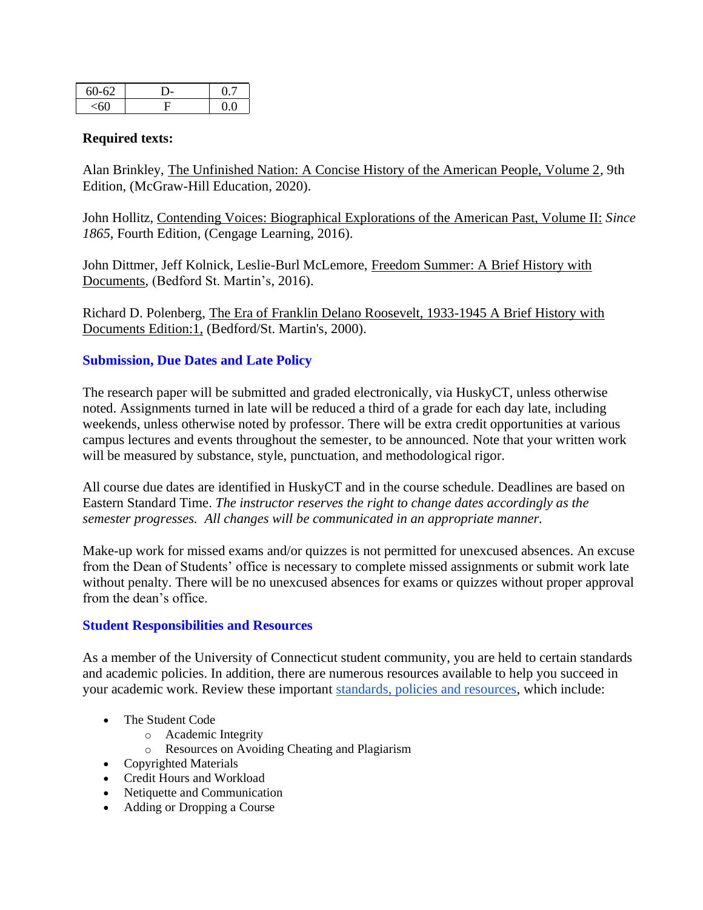| $60 - 62$ |  |
|-----------|--|
|           |  |

## **Required texts:**

Alan Brinkley, The Unfinished Nation: A Concise History of the American People, Volume 2*,* 9th Edition, (McGraw-Hill Education, 2020).

John Hollitz, Contending Voices: Biographical Explorations of the American Past, Volume II: *Since 1865*, Fourth Edition, (Cengage Learning, 2016).

John Dittmer, Jeff Kolnick, Leslie-Burl McLemore, Freedom Summer: A Brief History with Documents*,* (Bedford St. Martin's, 2016).

Richard D. Polenberg, The Era of Franklin Delano Roosevelt, 1933-1945 A Brief History with Documents Edition:1, (Bedford/St. Martin's, 2000).

# **Submission, Due Dates and Late Policy**

The research paper will be submitted and graded electronically, via HuskyCT, unless otherwise noted. Assignments turned in late will be reduced a third of a grade for each day late, including weekends, unless otherwise noted by professor. There will be extra credit opportunities at various campus lectures and events throughout the semester, to be announced. Note that your written work will be measured by substance, style, punctuation, and methodological rigor.

All course due dates are identified in HuskyCT and in the course schedule. Deadlines are based on Eastern Standard Time. *The instructor reserves the right to change dates accordingly as the semester progresses. All changes will be communicated in an appropriate manner.*

Make-up work for missed exams and/or quizzes is not permitted for unexcused absences. An excuse from the Dean of Students' office is necessary to complete missed assignments or submit work late without penalty. There will be no unexcused absences for exams or quizzes without proper approval from the dean's office.

## **Student Responsibilities and Resources**

As a member of the University of Connecticut student community, you are held to certain standards and academic policies. In addition, there are numerous resources available to help you succeed in your academic work. Review these important [standards, policies and resources,](http://ecampus.uconn.edu/policies.html) which include:

- The Student Code
	- o Academic Integrity
	- o Resources on Avoiding Cheating and Plagiarism
- Copyrighted Materials
- Credit Hours and Workload
- Netiquette and Communication
- Adding or Dropping a Course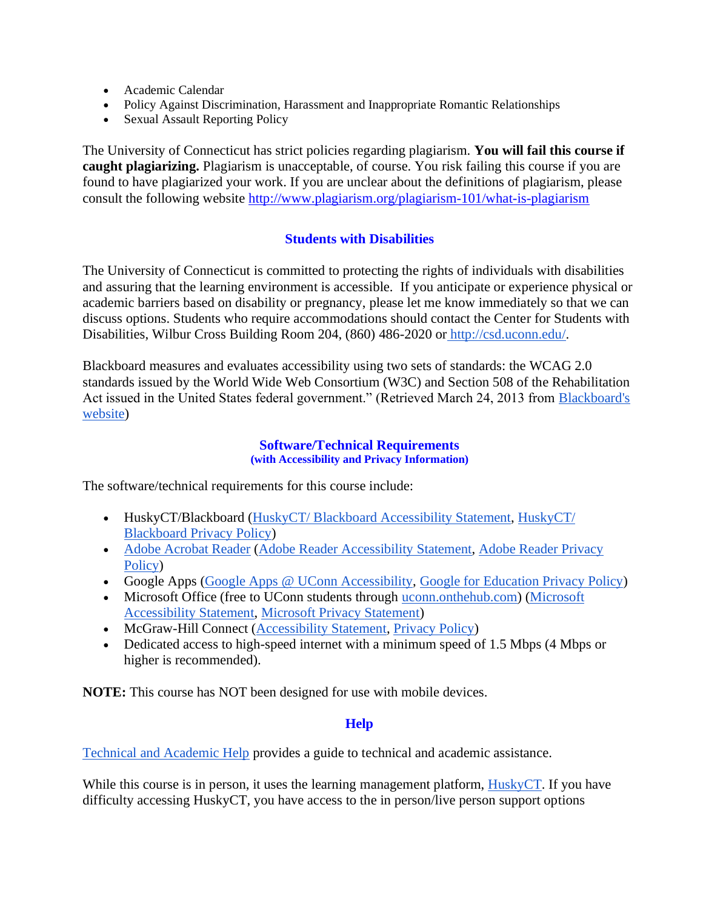- Academic Calendar
- Policy Against Discrimination, Harassment and Inappropriate Romantic Relationships
- Sexual Assault Reporting Policy

The University of Connecticut has strict policies regarding plagiarism. **You will fail this course if caught plagiarizing.** Plagiarism is unacceptable, of course. You risk failing this course if you are found to have plagiarized your work. If you are unclear about the definitions of plagiarism, please consult the following website<http://www.plagiarism.org/plagiarism-101/what-is-plagiarism>

# **Students with Disabilities**

The University of Connecticut is committed to protecting the rights of individuals with disabilities and assuring that the learning environment is accessible. If you anticipate or experience physical or academic barriers based on disability or pregnancy, please let me know immediately so that we can discuss options. Students who require accommodations should contact the Center for Students with Disabilities, Wilbur Cross Building Room 204, (860) 486-2020 or [http://csd.uconn.edu/.](http://csd.uconn.edu/)

Blackboard measures and evaluates accessibility using two sets of standards: the WCAG 2.0 standards issued by the World Wide Web Consortium (W3C) and Section 508 of the Rehabilitation Act issued in the United States federal government." (Retrieved March 24, 2013 from [Blackboard's](http://www.blackboard.com/platforms/learn/resources/accessibility.aspx)  [website\)](http://www.blackboard.com/platforms/learn/resources/accessibility.aspx)

## **Software/Technical Requirements (with Accessibility and Privacy Information)**

The software/technical requirements for this course include:

- HuskyCT/Blackboard [\(HuskyCT/ Blackboard Accessibility Statement,](http://www.blackboard.com/Platforms/Learn/Resources/Accessibility.aspx) [HuskyCT/](http://www.blackboard.com/footer/privacy-policy.aspx)  [Blackboard Privacy Policy\)](http://www.blackboard.com/footer/privacy-policy.aspx)
- [Adobe Acrobat Reader](http://www.adobe.com/products/acrobat/readstep2.html) [\(Adobe Reader Accessibility Statement,](http://www.adobe.com/accessibility/products/reader.html) [Adobe Reader Privacy](http://www.adobe.com/privacy.html)  [Policy\)](http://www.adobe.com/privacy.html)
- Google Apps [\(Google Apps @ UConn Accessibility,](https://email.uconn.edu/g-suite/) [Google for Education Privacy Policy\)](https://www.google.com/edu/trust/)
- Microsoft Office (free to UConn students through [uconn.onthehub.com\)](https://uconn.onthehub.com/) (Microsoft [Accessibility Statement,](http://www.microsoft.com/enable/microsoft/mission.aspx) [Microsoft Privacy Statement\)](https://privacy.microsoft.com/en-us/privacystatement/)
- McGraw-Hill Connect [\(Accessibility Statement,](https://www.mheducation.com/about/accessibility.html) [Privacy Policy\)](https://connect.mheducation.com/classwareweb/branding/en_US/default/html/privacy.html)
- Dedicated access to high-speed internet with a minimum speed of 1.5 Mbps (4 Mbps or higher is recommended).

**NOTE:** This course has NOT been designed for use with mobile devices.

# **Help**

[Technical and Academic Help](http://ecampus.uconn.edu/help.html) provides a guide to technical and academic assistance.

While this course is in person, it uses the learning management platform, [HuskyCT.](http://huskyct.uconn.edu/) If you have difficulty accessing HuskyCT, you have access to the in person/live person support options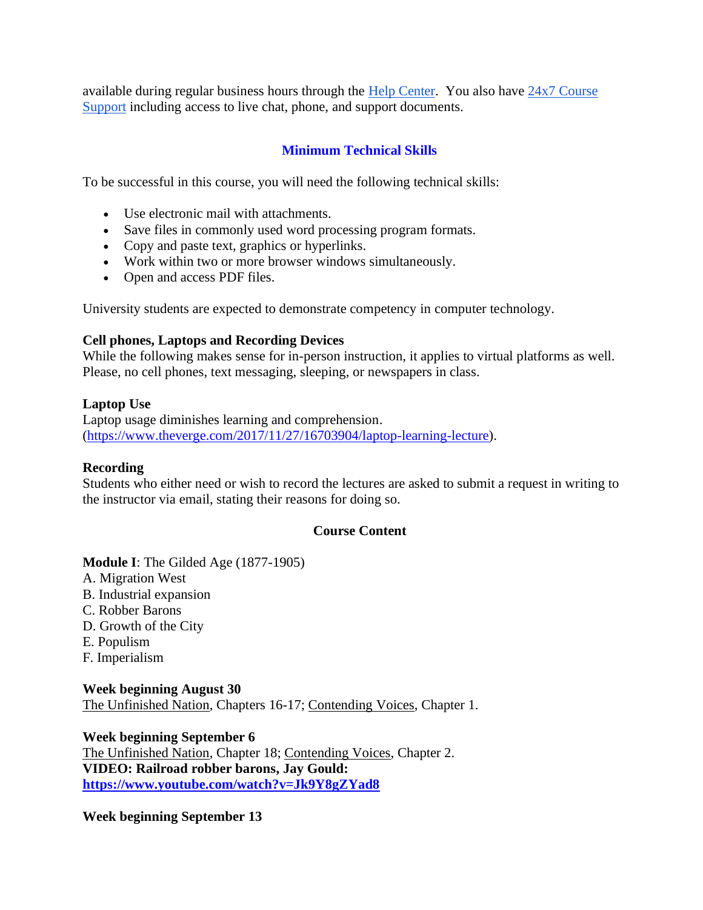available during regular business hours through the [Help Center.](http://helpcenter.uconn.edu/) You also have  $24x7$  Course [Support](http://www.ecampus24x7.uconn.edu/) including access to live chat, phone, and support documents.

# **Minimum Technical Skills**

To be successful in this course, you will need the following technical skills:

- Use electronic mail with attachments.
- Save files in commonly used word processing program formats.
- Copy and paste text, graphics or hyperlinks.
- Work within two or more browser windows simultaneously.
- Open and access PDF files.

University students are expected to demonstrate competency in computer technology.

#### **Cell phones, Laptops and Recording Devices**

While the following makes sense for in-person instruction, it applies to virtual platforms as well. Please, no cell phones, text messaging, sleeping, or newspapers in class.

#### **Laptop Use**

Laptop usage diminishes learning and comprehension. [\(https://www.theverge.com/2017/11/27/16703904/laptop-learning-lecture\)](https://www.theverge.com/2017/11/27/16703904/laptop-learning-lecture).

#### **Recording**

Students who either need or wish to record the lectures are asked to submit a request in writing to the instructor via email, stating their reasons for doing so.

## **Course Content**

## **Module I**: The Gilded Age (1877-1905)

- A. Migration West
- B. Industrial expansion
- C. Robber Barons
- D. Growth of the City
- E. Populism
- F. Imperialism

**Week beginning August 30** The Unfinished Nation, Chapters 16-17; Contending Voices, Chapter 1.

**Week beginning September 6** The Unfinished Nation, Chapter 18; Contending Voices, Chapter 2. **VIDEO: Railroad robber barons, Jay Gould: <https://www.youtube.com/watch?v=Jk9Y8gZYad8>**

**Week beginning September 13**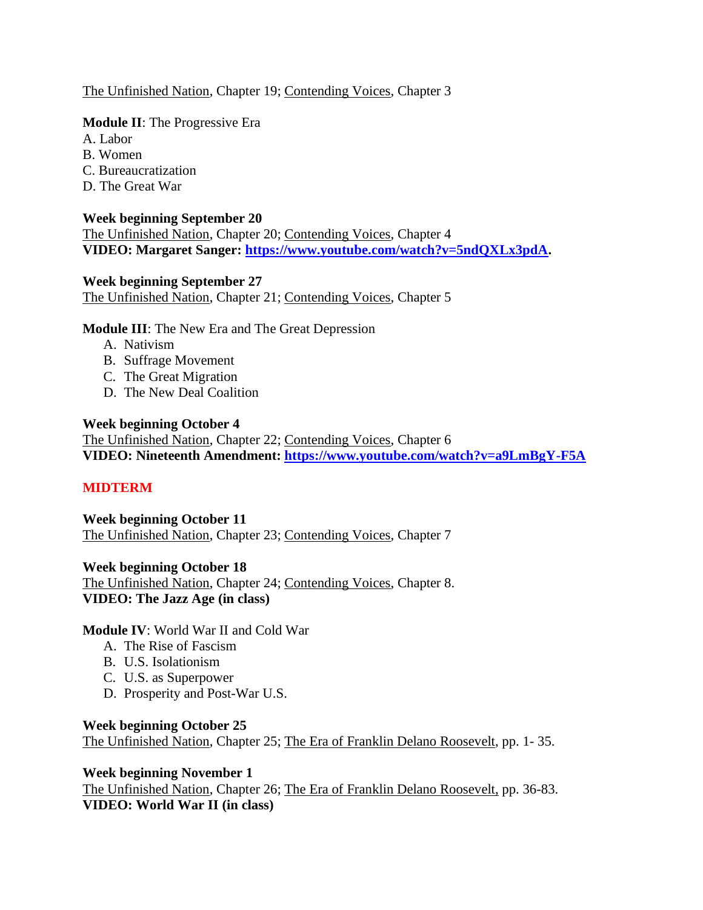The Unfinished Nation, Chapter 19; Contending Voices, Chapter 3

**Module II**: The Progressive Era

A. Labor

B. Women

- C. Bureaucratization
- D. The Great War

# **Week beginning September 20**

The Unfinished Nation, Chapter 20; Contending Voices, Chapter 4 **VIDEO: Margaret Sanger: [https://www.youtube.com/watch?v=5ndQXLx3pdA.](https://www.youtube.com/watch?v=5ndQXLx3pdA)** 

## **Week beginning September 27**

The Unfinished Nation, Chapter 21; Contending Voices, Chapter 5

**Module III**: The New Era and The Great Depression

- A. Nativism
- B. Suffrage Movement
- C. The Great Migration
- D. The New Deal Coalition

# **Week beginning October 4**

The Unfinished Nation, Chapter 22; Contending Voices, Chapter 6 **VIDEO: Nineteenth Amendment:<https://www.youtube.com/watch?v=a9LmBgY-F5A>**

# **MIDTERM**

**Week beginning October 11** The Unfinished Nation, Chapter 23; Contending Voices, Chapter 7

**Week beginning October 18**

The Unfinished Nation, Chapter 24; Contending Voices, Chapter 8. **VIDEO: The Jazz Age (in class)**

## **Module IV**: World War II and Cold War

- A. The Rise of Fascism
- B. U.S. Isolationism
- C. U.S. as Superpower
- D. Prosperity and Post-War U.S.

## **Week beginning October 25**

The Unfinished Nation, Chapter 25; The Era of Franklin Delano Roosevelt, pp. 1- 35.

## **Week beginning November 1**

The Unfinished Nation, Chapter 26; The Era of Franklin Delano Roosevelt, pp. 36-83. **VIDEO: World War II (in class)**